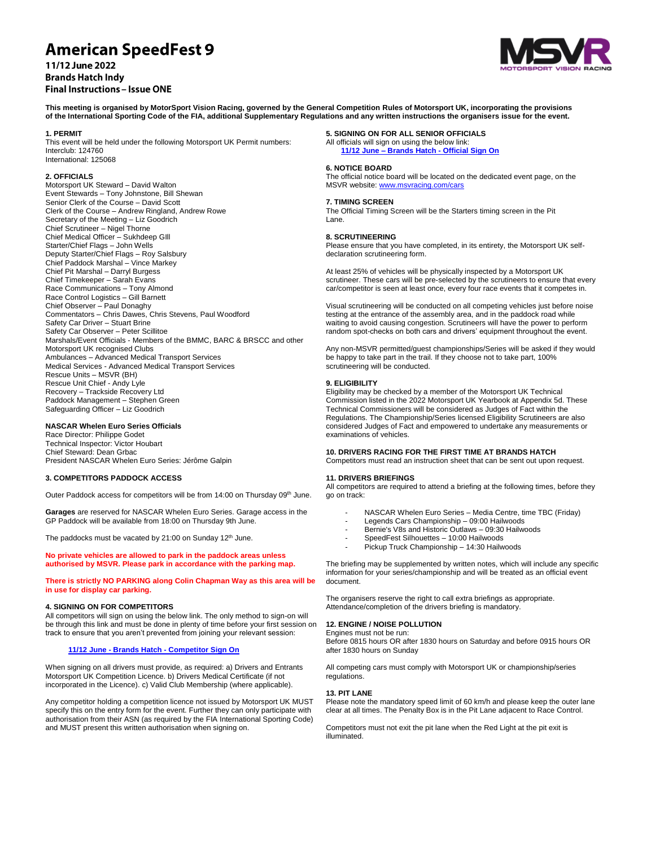# **American SpeedFest 9**

## 11/12 June 2022 **Brands Hatch Indy Final Instructions - Issue ONE**



**This meeting is organised by MotorSport Vision Racing, governed by the General Competition Rules of Motorsport UK, incorporating the provisions of the International Sporting Code of the FIA, additional Supplementary Regulations and any written instructions the organisers issue for the event.**

## **1. PERMIT**

This event will be held under the following Motorsport UK Permit numbers: Interclub: 124760 International: 125068

## **2. OFFICIALS**

Motorsport UK Steward – David Walton Event Stewards – Tony Johnstone, Bill Shewan Senior Clerk of the Course – David Scott Clerk of the Course – Andrew Ringland, Andrew Rowe Secretary of the Meeting – Liz Goodrich Chief Scrutineer – Nigel Thorne Chief Medical Officer – Sukhdeep GIll Starter/Chief Flags – John Wells Deputy Starter/Chief Flags – Roy Salsbury Chief Paddock Marshal – Vince Markey Chief Pit Marshal – Darryl Burgess Chief Timekeeper – Sarah Evans Race Communications – Tony Almond Race Control Logistics – Gill Barnett Chief Observer – Paul Donaghy Commentators – Chris Dawes, Chris Stevens, Paul Woodford Safety Car Driver - Stuart Brine Safety Car Observer – Peter Scillitoe Marshals/Event Officials - Members of the BMMC, BARC & BRSCC and other Motorsport UK recognised Clubs Ambulances – Advanced Medical Transport Services Medical Services - Advanced Medical Transport Services Rescue Units – MSVR (BH) Rescue Unit Chief - Andy Lyle Recovery – Trackside Recovery Ltd Paddock Management – Stephen Green Safeguarding Officer – Liz Goodrich

## **NASCAR Whelen Euro Series Officials**

Race Director: Philippe Godet Technical Inspector: Victor Houbart Chief Steward: Dean Grbac President NASCAR Whelen Euro Series: Jérôme Galpin

## **3. COMPETITORS PADDOCK ACCESS**

Outer Paddock access for competitors will be from 14:00 on Thursday 09th June.

**Garages** are reserved for NASCAR Whelen Euro Series. Garage access in the GP Paddock will be available from 18:00 on Thursday 9th June.

The paddocks must be vacated by  $21:00$  on Sunday  $12<sup>th</sup>$  June.

## **No private vehicles are allowed to park in the paddock areas unless authorised by MSVR. Please park in accordance with the parking map.**

**There is strictly NO PARKING along Colin Chapman Way as this area will be in use for display car parking.**

#### **4. SIGNING ON FOR COMPETITORS**

All competitors will sign on using the below link. The only method to sign-on will be through this link and must be done in plenty of time before your first session on track to ensure that you aren't prevented from joining your relevant session:

## **11/12 June - Brands Hatch - [Competitor Sign On](https://racing.msv.com/CheckIn/7e8b6f42-1dbc-4f65-b601-1c235c60d631)**

When signing on all drivers must provide, as required: a) Drivers and Entrants Motorsport UK Competition Licence. b) Drivers Medical Certificate (if not incorporated in the Licence). c) Valid Club Membership (where applicable).

Any competitor holding a competition licence not issued by Motorsport UK MUST specify this on the entry form for the event. Further they can only participate with authorisation from their ASN (as required by the FIA International Sporting Code) and MUST present this written authorisation when signing on.

#### **5. SIGNING ON FOR ALL SENIOR OFFICIALS**

All officials will sign on using the below link: **11/12 June – Brands Hatch - [Official Sign On](https://racing.msv.com/CheckIn/Officals/7e8b6f42-1dbc-4f65-b601-1c235c60d631)**

#### **6. NOTICE BOARD**

The official notice board will be located on the dedicated event page, on the MSVR website[: www.msvracing.com/cars](http://www.msvracing.com/cars)

#### **7. TIMING SCREEN**

The Official Timing Screen will be the Starters timing screen in the Pit Lane.

#### **8. SCRUTINEERING**

Please ensure that you have completed, in its entirety, the Motorsport UK selfdeclaration scrutineering form.

At least 25% of vehicles will be physically inspected by a Motorsport UK scrutineer. These cars will be pre-selected by the scrutineers to ensure that every car/competitor is seen at least once, every four race events that it competes in.

Visual scrutineering will be conducted on all competing vehicles just before noise testing at the entrance of the assembly area, and in the paddock road while waiting to avoid causing congestion. Scrutineers will have the power to perform random spot-checks on both cars and drivers' equipment throughout the event.

Any non-MSVR permitted/guest championships/Series will be asked if they would be happy to take part in the trail. If they choose not to take part, 100% scrutineering will be conducted.

## **9. ELIGIBILITY**

Eligibility may be checked by a member of the Motorsport UK Technical Commission listed in the 2022 Motorsport UK Yearbook at Appendix 5d. These Technical Commissioners will be considered as Judges of Fact within the Regulations. The Championship/Series licensed Eligibility Scrutineers are also considered Judges of Fact and empowered to undertake any measurements or examinations of vehicles.

## **10. DRIVERS RACING FOR THE FIRST TIME AT BRANDS HATCH**

Competitors must read an instruction sheet that can be sent out upon request.

## **11. DRIVERS BRIEFINGS**

All competitors are required to attend a briefing at the following times, before they go on track:

- NASCAR Whelen Euro Series Media Centre, time TBC (Friday)
- Legends Cars Championship 09:00 Hailwoods
- Bernie's V8s and Historic Outlaws 09:30 Hailwoods
- SpeedFest Silhouettes 10:00 Hailwoods
- Pickup Truck Championship 14:30 Hailwoods

The briefing may be supplemented by written notes, which will include any specific information for your series/championship and will be treated as an official event document.

The organisers reserve the right to call extra briefings as appropriate. Attendance/completion of the drivers briefing is mandatory.

#### **12. ENGINE / NOISE POLLUTION** Engines must not be run:

Before 0815 hours OR after 1830 hours on Saturday and before 0915 hours OR after 1830 hours on Sunday

All competing cars must comply with Motorsport UK or championship/series regulations.

## **13. PIT LANE**

Please note the mandatory speed limit of 60 km/h and please keep the outer lane clear at all times. The Penalty Box is in the Pit Lane adjacent to Race Control.

Competitors must not exit the pit lane when the Red Light at the pit exit is illuminated.